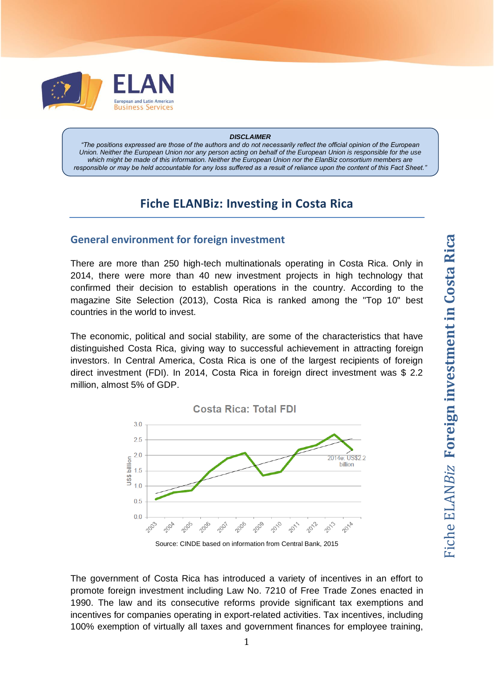

#### *DISCLAIMER*

*"The positions expressed are those of the authors and do not necessarily reflect the official opinion of the European Union. Neither the European Union nor any person acting on behalf of the European Union is responsible for the use*  which might be made of this information. Neither the European Union nor the ElanBiz consortium members are *responsible or may be held accountable for any loss suffered as a result of reliance upon the content of this Fact Sheet."*

## **Fiche ELANBiz: Investing in Costa Rica**

#### **General environment for foreign investment**

There are more than 250 high-tech multinationals operating in Costa Rica. Only in 2014, there were more than 40 new investment projects in high technology that confirmed their decision to establish operations in the country. According to the magazine Site Selection (2013), Costa Rica is ranked among the "Top 10" best countries in the world to invest.

The economic, political and social stability, are some of the characteristics that have distinguished Costa Rica, giving way to successful achievement in attracting foreign investors. In Central America, Costa Rica is one of the largest recipients of foreign direct investment (FDI). In 2014, Costa Rica in foreign direct investment was \$ 2.2 million, almost 5% of GDP.



The government of Costa Rica has introduced a variety of incentives in an effort to promote foreign investment including Law No. 7210 of Free Trade Zones enacted in 1990. The law and its consecutive reforms provide significant tax exemptions and incentives for companies operating in export-related activities. Tax incentives, including 100% exemption of virtually all taxes and government finances for employee training,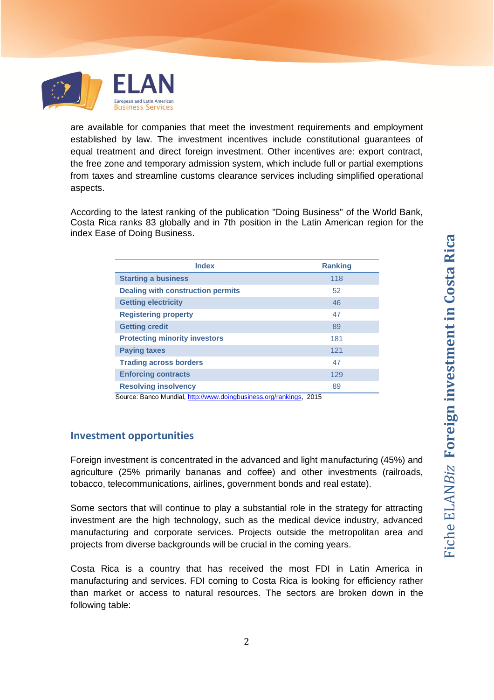

are available for companies that meet the investment requirements and employment established by law. The investment incentives include constitutional guarantees of equal treatment and direct foreign investment. Other incentives are: export contract, the free zone and temporary admission system, which include full or partial exemptions from taxes and streamline customs clearance services including simplified operational aspects.

According to the latest ranking of the publication "Doing Business" of the World Bank, Costa Rica ranks 83 globally and in 7th position in the Latin American region for the index [Ease of Doing Business.](http://www.doingbusiness.org/Rankings?sortcolumn=2&sortorder=desc®ionID=0&incomeID=0&tercile=&ajax=1)

| <b>Index</b>                                                       | <b>Ranking</b> |  |
|--------------------------------------------------------------------|----------------|--|
| <b>Starting a business</b>                                         | 118            |  |
| <b>Dealing with construction permits</b>                           | 52             |  |
| <b>Getting electricity</b>                                         | 46             |  |
| <b>Registering property</b>                                        | 47             |  |
| <b>Getting credit</b>                                              | 89             |  |
| <b>Protecting minority investors</b>                               | 181            |  |
| <b>Paying taxes</b>                                                | 121            |  |
| <b>Trading across borders</b>                                      | 47             |  |
| <b>Enforcing contracts</b>                                         | 129            |  |
| <b>Resolving insolvency</b>                                        | 89             |  |
| Source: Banco Mundial, http://www.doingbusiness.org/rankings, 2015 |                |  |

## **Investment opportunities**

Foreign investment is concentrated in the advanced and light manufacturing (45%) and agriculture (25% primarily bananas and coffee) and other investments (railroads, tobacco, telecommunications, airlines, government bonds and real estate).

Some sectors that will continue to play a substantial role in the strategy for attracting investment are the high technology, such as the medical device industry, advanced manufacturing and corporate services. Projects outside the metropolitan area and projects from diverse backgrounds will be crucial in the coming years.

Costa Rica is a country that has received the most FDI in Latin America in manufacturing and services. FDI coming to Costa Rica is looking for efficiency rather than market or access to natural resources. The sectors are broken down in the following table: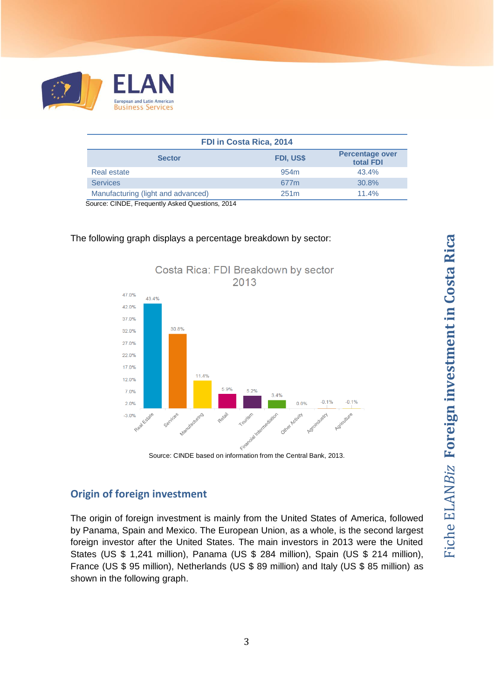

| FDI in Costa Rica, 2014            |                  |                                     |
|------------------------------------|------------------|-------------------------------------|
| <b>Sector</b>                      | FDI, US\$        | <b>Percentage over</b><br>total FDI |
| Real estate                        | 954 <sub>m</sub> | 43.4%                               |
| <b>Services</b>                    | 677 <sub>m</sub> | 30.8%                               |
| Manufacturing (light and advanced) | 251 <sub>m</sub> | 11.4%                               |

Source: CINDE, Frequently Asked Questions, 2014





Source: CINDE based on information from the Central Bank, 2013.

#### **Origin of foreign investment**

The origin of foreign investment is mainly from the United States of America, followed by Panama, Spain and Mexico. The European Union, as a whole, is the second largest foreign investor after the United States. The main investors in 2013 were the United States (US \$ 1,241 million), Panama (US \$ 284 million), Spain (US \$ 214 million), France (US \$ 95 million), Netherlands (US \$ 89 million) and Italy (US \$ 85 million) as shown in the following graph.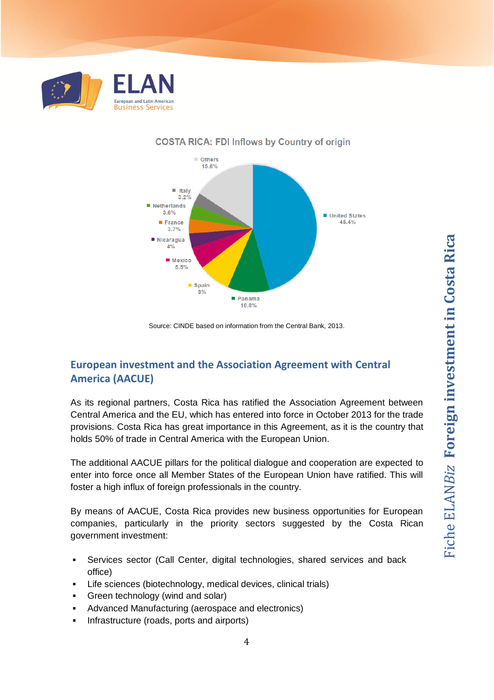



#### **COSTA RICA: FDI Inflows by Country of origin**

Source: CINDE based on information from the Central Bank, 2013.

# **European investment and the Association Agreement with Central America (AACUE)**

As its regional partners, Costa Rica has ratified the Association Agreement between Central America and the EU, which has entered into force in October 2013 for the trade provisions. Costa Rica has great importance in this Agreement, as it is the country that holds 50% of trade in Central America with the European Union.

The additional AACUE pillars for the political dialogue and cooperation are expected to enter into force once all Member States of the European Union have ratified. This will foster a high influx of foreign professionals in the country.

By means of AACUE, Costa Rica provides new business opportunities for European companies, particularly in the priority sectors suggested by the Costa Rican government investment:

- Services sector (Call Center, digital technologies, shared services and back office)
- Life sciences (biotechnology, medical devices, clinical trials)
- **Green technology (wind and solar)**
- Advanced Manufacturing (aerospace and electronics)
- **Infrastructure (roads, ports and airports)**